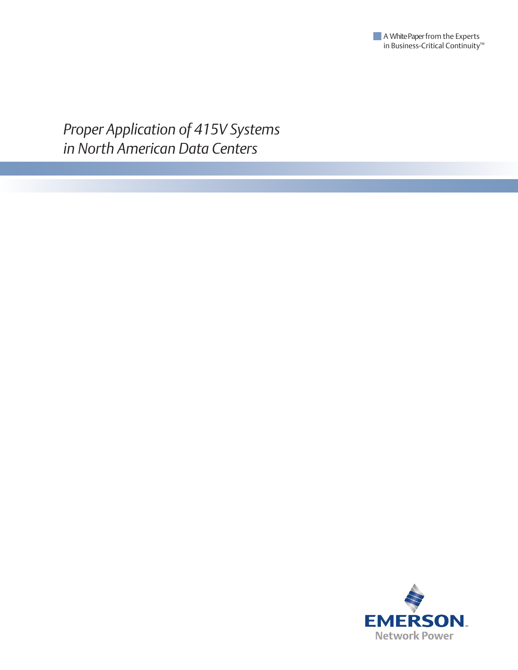

*Proper Application of 415V Systems in North American Data Centers*

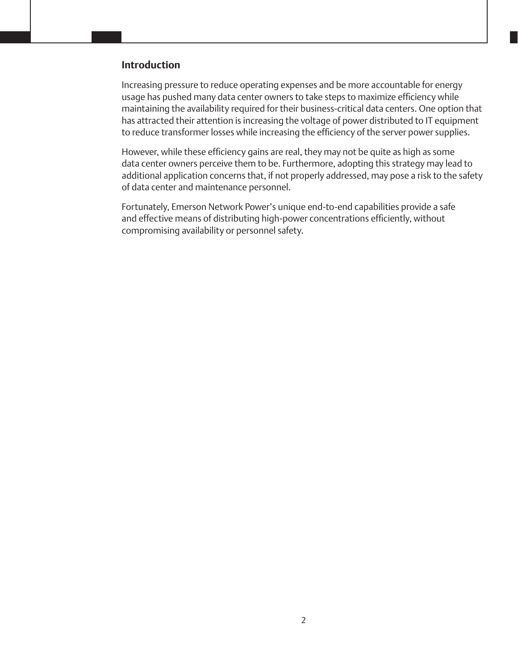#### **Introduction**

Increasing pressure to reduce operating expenses and be more accountable for energy usage has pushed many data center owners to take steps to maximize efficiency while maintaining the availability required for their business-critical data centers. One option that has attracted their attention is increasing the voltage of power distributed to IT equipment to reduce transformer losses while increasing the efficiency of the server power supplies.

However, while these efficiency gains are real, they may not be quite as high as some data center owners perceive them to be. Furthermore, adopting this strategy may lead to additional application concerns that, if not properly addressed, may pose a risk to the safety of data center and maintenance personnel.

Fortunately, Emerson Network Power's unique end-to-end capabilities provide a safe and effective means of distributing high-power concentrations efficiently, without compromising availability or personnel safety.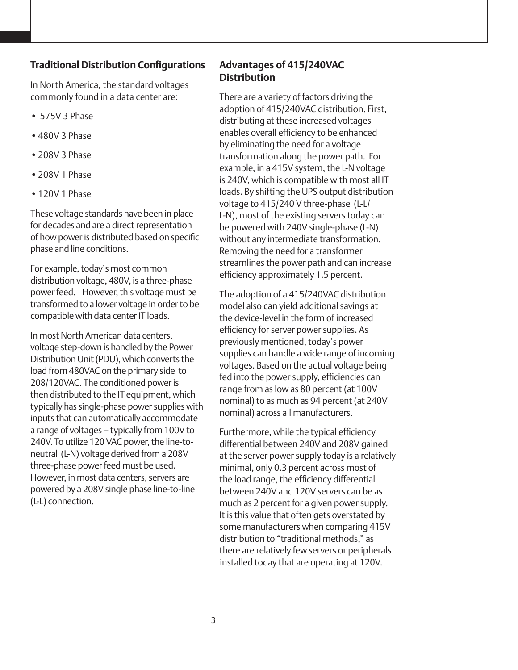# **Traditional Distribution Configurations**

In North America, the standard voltages commonly found in a data center are:

- 575V 3 Phase
- •480V 3 Phase
- •208V 3 Phase
- •208V 1 Phase
- •120V 1 Phase

These voltage standards have been in place for decades and are a direct representation of how power is distributed based on specific phase and line conditions.

For example, today's most common distribution voltage, 480V, is a three-phase power feed. However, this voltage must be transformed to a lower voltage in order to be compatible with data center IT loads.

In most North American data centers, voltage step-down is handled by the Power Distribution Unit (PDU), which converts the load from 480VAC on the primary side to 208/120VAC. The conditioned power is then distributed to the IT equipment, which typically has single-phase power supplies with inputs that can automatically accommodate a range of voltages – typically from 100V to 240V. To utilize 120 VAC power, the line-toneutral (L-N) voltage derived from a 208V three-phase power feed must be used. However, in most data centers, servers are powered by a 208V single phase line-to-line (L-L) connection.

# **Advantages of 415/240VAC Distribution**

There are a variety of factors driving the adoption of 415/240VAC distribution. First, distributing at these increased voltages enables overall efficiency to be enhanced by eliminating the need for a voltage transformation along the power path. For example, in a 415V system, the L-N voltage is 240V, which is compatible with most all IT loads. By shifting the UPS output distribution voltage to 415/240 V three-phase (L-L/ L-N), most of the existing servers today can be powered with 240V single-phase (L-N) without any intermediate transformation. Removing the need for a transformer streamlines the power path and can increase efficiency approximately 1.5 percent.

The adoption of a 415/240VAC distribution model also can yield additional savings at the device-level in the form of increased efficiency for server power supplies. As previously mentioned, today's power supplies can handle a wide range of incoming voltages. Based on the actual voltage being fed into the power supply, efficiencies can range from as low as 80 percent (at 100V nominal) to as much as 94 percent (at 240V nominal) across all manufacturers.

Furthermore, while the typical efficiency differential between 240V and 208V gained at the server power supply today is a relatively minimal, only 0.3 percent across most of the load range, the efficiency differential between 240V and 120V servers can be as much as 2 percent for a given power supply. It is this value that often gets overstated by some manufacturers when comparing 415V distribution to "traditional methods," as there are relatively few servers or peripherals installed today that are operating at 120V.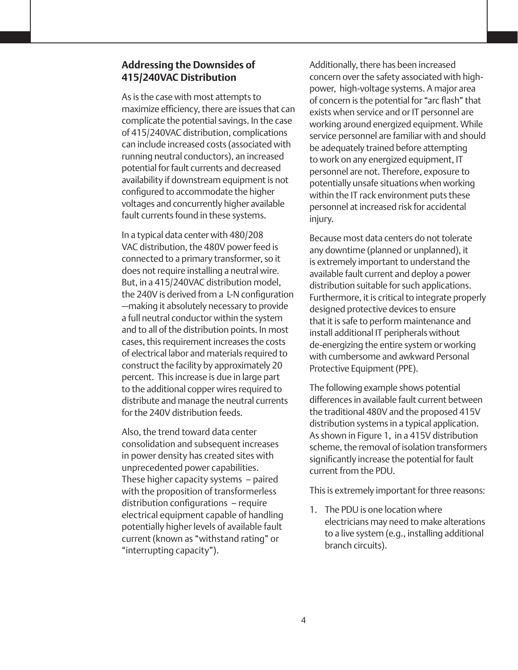### **Addressing the Downsides of 415/240VAC Distribution**

As is the case with most attempts to maximize efficiency, there are issues that can complicate the potential savings. In the case of 415/240VAC distribution, complications can include increased costs (associated with running neutral conductors), an increased potential for fault currents and decreased availability if downstream equipment is not configured to accommodate the higher voltages and concurrently higher available fault currents found in these systems.

In a typical data center with 480/208 VAC distribution, the 480V power feed is connected to a primary transformer, so it does not require installing a neutral wire. But, in a 415/240VAC distribution model, the 240V is derived from a L-N configuration —making it absolutely necessary to provide a full neutral conductor within the system and to all of the distribution points. In most cases, this requirement increases the costs of electrical labor and materials required to construct the facility by approximately 20 percent. This increase is due in large part to the additional copper wires required to distribute and manage the neutral currents for the 240V distribution feeds.

Also, the trend toward data center consolidation and subsequent increases in power density has created sites with unprecedented power capabilities. These higher capacity systems – paired with the proposition of transformerless distribution configurations – require electrical equipment capable of handling potentially higher levels of available fault current (known as "withstand rating" or "interrupting capacity").

Additionally, there has been increased concern over the safety associated with highpower, high-voltage systems. A major area of concern is the potential for "arc flash" that exists when service and or IT personnel are working around energized equipment. While service personnel are familiar with and should be adequately trained before attempting to work on any energized equipment, IT personnel are not. Therefore, exposure to potentially unsafe situations when working within the IT rack environment puts these personnel at increased risk for accidental injury.

Because most data centers do not tolerate any downtime (planned or unplanned), it is extremely important to understand the available fault current and deploy a power distribution suitable for such applications. Furthermore, it is critical to integrate properly designed protective devices to ensure that it is safe to perform maintenance and install additional IT peripherals without de-energizing the entire system or working with cumbersome and awkward Personal Protective Equipment (PPE).

The following example shows potential differences in available fault current between the traditional 480V and the proposed 415V distribution systems in a typical application. As shown in Figure 1, in a 415V distribution scheme, the removal of isolation transformers significantly increase the potential for fault current from the PDU.

This is extremely important for three reasons:

1. The PDU is one location where electricians may need to make alterations to a live system (e.g., installing additional branch circuits).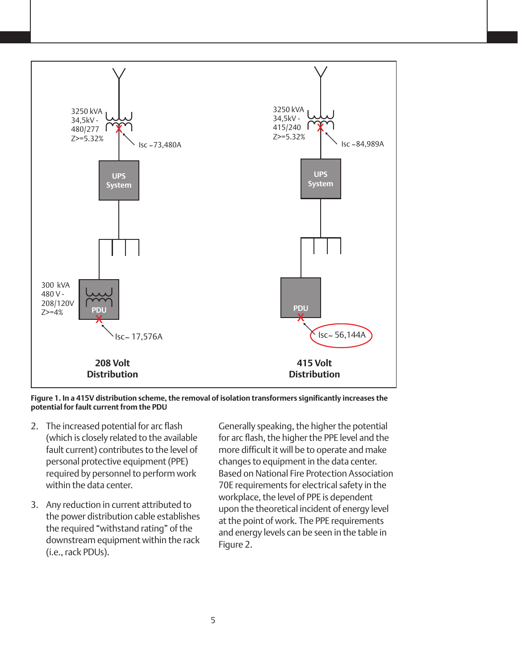

**Figure 1. In a 415V distribution scheme, the removal of isolation transformers significantly increases the potential for fault current from the PDU**

- 2. The increased potential for arc flash (which is closely related to the available fault current) contributes to the level of personal protective equipment (PPE) required by personnel to perform work within the data center.
- 3. Any reduction in current attributed to the power distribution cable establishes the required "withstand rating" of the downstream equipment within the rack (i.e., rack PDUs).

Generally speaking, the higher the potential for arc flash, the higher the PPE level and the more difficult it will be to operate and make changes to equipment in the data center. Based on National Fire Protection Association 70E requirements for electrical safety in the workplace, the level of PPE is dependent upon the theoretical incident of energy level at the point of work. The PPE requirements and energy levels can be seen in the table in Figure 2.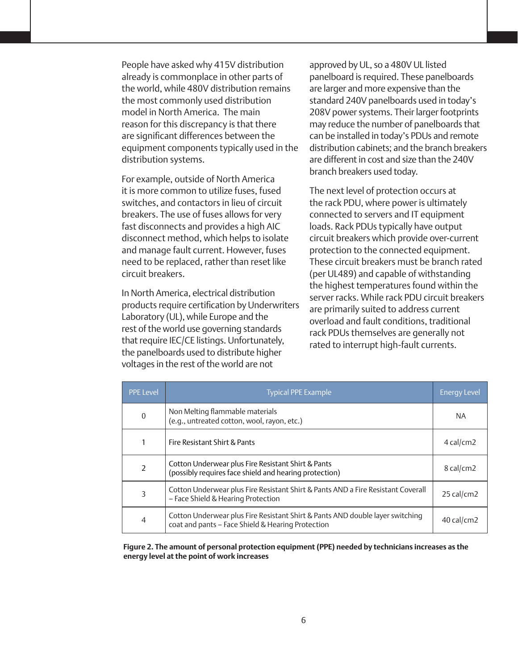People have asked why 415V distribution already is commonplace in other parts of the world, while 480V distribution remains the most commonly used distribution model in North America. The main reason for this discrepancy is that there are significant differences between the equipment components typically used in the distribution systems.

For example, outside of North America it is more common to utilize fuses, fused switches, and contactors in lieu of circuit breakers. The use of fuses allows for very fast disconnects and provides a high AIC disconnect method, which helps to isolate and manage fault current. However, fuses need to be replaced, rather than reset like circuit breakers.

In North America, electrical distribution products require certification by Underwriters Laboratory (UL), while Europe and the rest of the world use governing standards that require IEC/CE listings. Unfortunately, the panelboards used to distribute higher voltages in the rest of the world are not

approved by UL, so a 480V UL listed panelboard is required. These panelboards are larger and more expensive than the standard 240V panelboards used in today's 208V power systems. Their larger footprints may reduce the number of panelboards that can be installed in today's PDUs and remote distribution cabinets; and the branch breakers are different in cost and size than the 240V branch breakers used today.

The next level of protection occurs at the rack PDU, where power is ultimately connected to servers and IT equipment loads. Rack PDUs typically have output circuit breakers which provide over-current protection to the connected equipment. These circuit breakers must be branch rated (per UL489) and capable of withstanding the highest temperatures found within the server racks. While rack PDU circuit breakers are primarily suited to address current overload and fault conditions, traditional rack PDUs themselves are generally not rated to interrupt high-fault currents.

| <b>PPE Level</b> | Typical PPE Example                                                                                                                | <b>Energy Level</b> |
|------------------|------------------------------------------------------------------------------------------------------------------------------------|---------------------|
| $\boldsymbol{0}$ | Non Melting flammable materials<br>(e.g., untreated cotton, wool, rayon, etc.)                                                     | <b>NA</b>           |
|                  | Fire Resistant Shirt & Pants                                                                                                       | $4$ cal/cm2         |
| $\overline{2}$   | Cotton Underwear plus Fire Resistant Shirt & Pants<br>(possibly requires face shield and hearing protection)                       | 8 cal/cm2           |
| 3                | Cotton Underwear plus Fire Resistant Shirt & Pants AND a Fire Resistant Coverall<br>- Face Shield & Hearing Protection             | $25$ cal/cm2        |
| $\overline{4}$   | Cotton Underwear plus Fire Resistant Shirt & Pants AND double layer switching<br>coat and pants - Face Shield & Hearing Protection | $40$ cal/cm2        |

**Figure 2. The amount of personal protection equipment (PPE) needed by technicians increases as the energy level at the point of work increases**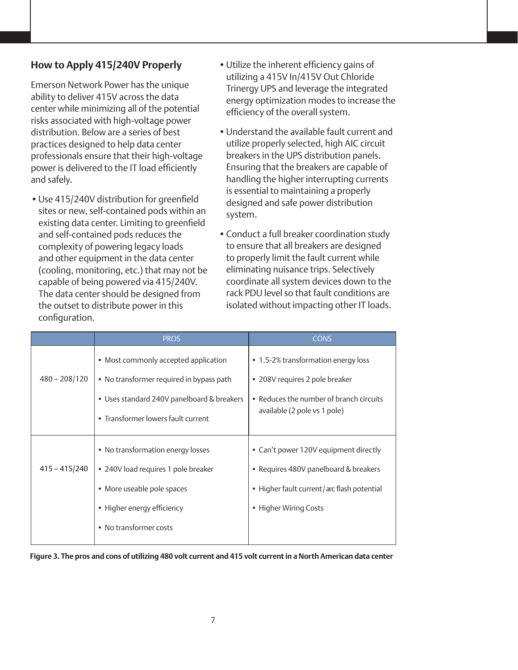# **How to Apply 415/240V Properly**

Emerson Network Power has the unique ability to deliver 415V across the data center while minimizing all of the potential risks associated with high-voltage power distribution. Below are a series of best practices designed to help data center professionals ensure that their high-voltage power is delivered to the IT load efficiently and safely.

•Use 415/240V distribution for greenfield sites or new, self-contained pods within an existing data center. Limiting to greenfield and self-contained pods reduces the complexity of powering legacy loads and other equipment in the data center (cooling, monitoring, etc.) that may not be capable of being powered via 415/240V. The data center should be designed from the outset to distribute power in this configuration.

- •Utilize the inherent efficiency gains of utilizing a 415V In/415V Out Chloride Trinergy UPS and leverage the integrated energy optimization modes to increase the efficiency of the overall system.
- •Understand the available fault current and utilize properly selected, high AIC circuit breakers in the UPS distribution panels. Ensuring that the breakers are capable of handling the higher interrupting currents is essential to maintaining a properly designed and safe power distribution system.
- •Conduct a full breaker coordination study to ensure that all breakers are designed to properly limit the fault current while eliminating nuisance trips. Selectively coordinate all system devices down to the rack PDU level so that fault conditions are isolated without impacting other IT loads.

|                 | <b>PROS</b>                                                                                                                                                          | <b>CONS</b>                                                                                                                                           |
|-----------------|----------------------------------------------------------------------------------------------------------------------------------------------------------------------|-------------------------------------------------------------------------------------------------------------------------------------------------------|
| $480 - 208/120$ | • Most commonly accepted application<br>• No transformer required in bypass path<br>• Uses standard 240V panelboard & breakers<br>• Transformer lowers fault current | • 1.5-2% transformation energy loss<br>• 208V requires 2 pole breaker<br>• Reduces the number of branch circuits<br>available (2 pole vs 1 pole)      |
| $415 - 415/240$ | • No transformation energy losses<br>• 240V load requires 1 pole breaker<br>• More useable pole spaces<br>• Higher energy efficiency<br>• No transformer costs       | • Can't power 120V equipment directly<br>• Requires 480V panelboard & breakers<br>• Higher fault current/arc flash potential<br>• Higher Wiring Costs |

**Figure 3. The pros and cons of utilizing 480 volt current and 415 volt current in a North American data center**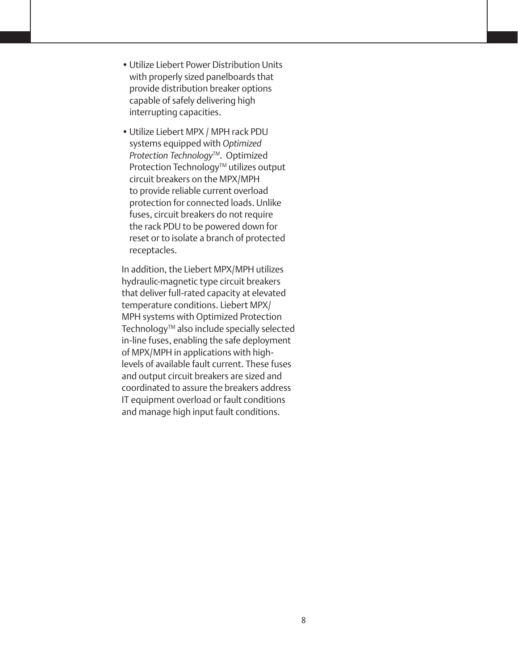- •Utilize Liebert Power Distribution Units with properly sized panelboards that provide distribution breaker options capable of safely delivering high interrupting capacities.
- •Utilize Liebert MPX / MPH rack PDU systems equipped with *Optimized Protection Technology™*. Optimized Protection Technology™ utilizes output circuit breakers on the MPX/MPH to provide reliable current overload protection for connected loads. Unlike fuses, circuit breakers do not require the rack PDU to be powered down for reset or to isolate a branch of protected receptacles.

In addition, the Liebert MPX/MPH utilizes hydraulic-magnetic type circuit breakers that deliver full-rated capacity at elevated temperature conditions. Liebert MPX/ MPH systems with Optimized Protection Technology™ also include specially selected in-line fuses, enabling the safe deployment of MPX/MPH in applications with highlevels of available fault current. These fuses and output circuit breakers are sized and coordinated to assure the breakers address IT equipment overload or fault conditions and manage high input fault conditions.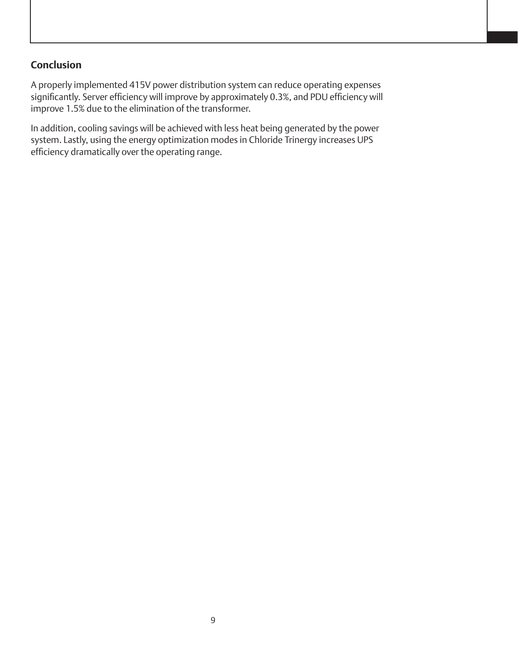# **Conclusion**

A properly implemented 415V power distribution system can reduce operating expenses significantly. Server efficiency will improve by approximately 0.3%, and PDU efficiency will improve 1.5% due to the elimination of the transformer.

In addition, cooling savings will be achieved with less heat being generated by the power system. Lastly, using the energy optimization modes in Chloride Trinergy increases UPS efficiency dramatically over the operating range.